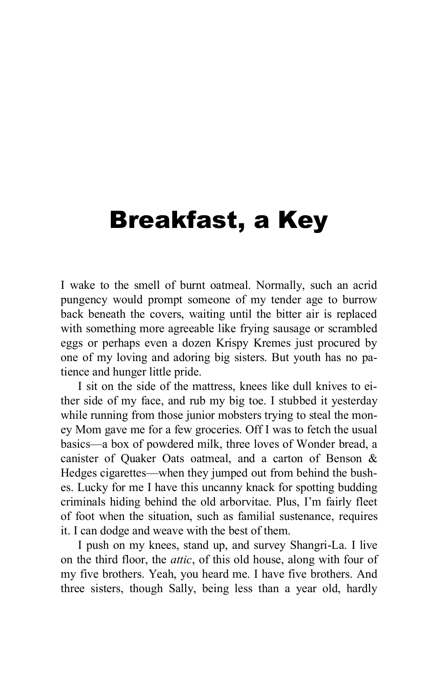## Breakfast, a Key

I wake to the smell of burnt oatmeal. Normally, such an acrid pungency would prompt someone of my tender age to burrow back beneath the covers, waiting until the bitter air is replaced with something more agreeable like frying sausage or scrambled eggs or perhaps even a dozen Krispy Kremes just procured by one of my loving and adoring big sisters. But youth has no patience and hunger little pride.

I sit on the side of the mattress, knees like dull knives to either side of my face, and rub my big toe. I stubbed it yesterday while running from those junior mobsters trying to steal the money Mom gave me for a few groceries. Off I was to fetch the usual basics—a box of powdered milk, three loves of Wonder bread, a canister of Quaker Oats oatmeal, and a carton of Benson & Hedges cigarettes—when they jumped out from behind the bushes. Lucky for me I have this uncanny knack for spotting budding criminals hiding behind the old arborvitae. Plus, I'm fairly fleet of foot when the situation, such as familial sustenance, requires it. I can dodge and weave with the best of them.

I push on my knees, stand up, and survey Shangri-La. I live on the third floor, the *attic*, of this old house, along with four of my five brothers. Yeah, you heard me. I have five brothers. And three sisters, though Sally, being less than a year old, hardly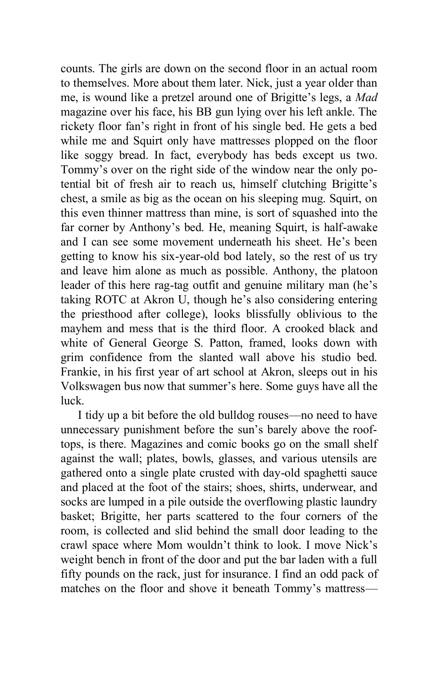counts. The girls are down on the second floor in an actual room to themselves. More about them later. Nick, just a year older than me, is wound like a pretzel around one of Brigitte's legs, a *Mad* magazine over his face, his BB gun lying over his left ankle. The rickety floor fan's right in front of his single bed. He gets a bed while me and Squirt only have mattresses plopped on the floor like soggy bread. In fact, everybody has beds except us two. Tommy's over on the right side of the window near the only potential bit of fresh air to reach us, himself clutching Brigitte's chest, a smile as big as the ocean on his sleeping mug. Squirt, on this even thinner mattress than mine, is sort of squashed into the far corner by Anthony's bed. He, meaning Squirt, is half-awake and I can see some movement underneath his sheet. He's been getting to know his six-year-old bod lately, so the rest of us try and leave him alone as much as possible. Anthony, the platoon leader of this here rag-tag outfit and genuine military man (he's taking ROTC at Akron U, though he's also considering entering the priesthood after college), looks blissfully oblivious to the mayhem and mess that is the third floor. A crooked black and white of General George S. Patton, framed, looks down with grim confidence from the slanted wall above his studio bed. Frankie, in his first year of art school at Akron, sleeps out in his Volkswagen bus now that summer's here. Some guys have all the luck.

I tidy up a bit before the old bulldog rouses—no need to have unnecessary punishment before the sun's barely above the rooftops, is there. Magazines and comic books go on the small shelf against the wall; plates, bowls, glasses, and various utensils are gathered onto a single plate crusted with day-old spaghetti sauce and placed at the foot of the stairs; shoes, shirts, underwear, and socks are lumped in a pile outside the overflowing plastic laundry basket; Brigitte, her parts scattered to the four corners of the room, is collected and slid behind the small door leading to the crawl space where Mom wouldn't think to look. I move Nick's weight bench in front of the door and put the bar laden with a full fifty pounds on the rack, just for insurance. I find an odd pack of matches on the floor and shove it beneath Tommy's mattress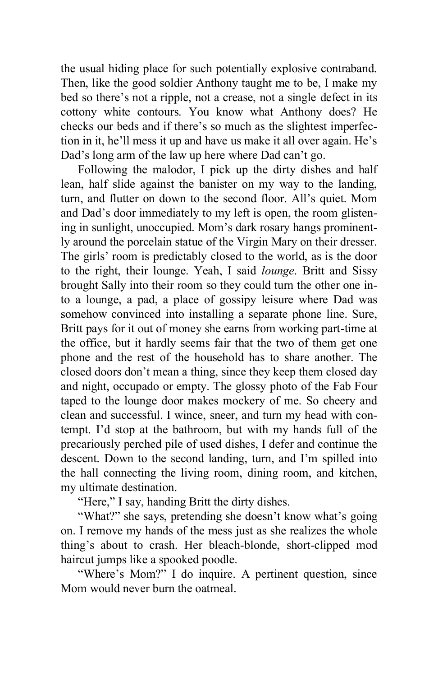the usual hiding place for such potentially explosive contraband. Then, like the good soldier Anthony taught me to be, I make my bed so there's not a ripple, not a crease, not a single defect in its cottony white contours. You know what Anthony does? He checks our beds and if there's so much as the slightest imperfection in it, he'll mess it up and have us make it all over again. He's Dad's long arm of the law up here where Dad can't go.

Following the malodor, I pick up the dirty dishes and half lean, half slide against the banister on my way to the landing, turn, and flutter on down to the second floor. All's quiet. Mom and Dad's door immediately to my left is open, the room glistening in sunlight, unoccupied. Mom's dark rosary hangs prominently around the porcelain statue of the Virgin Mary on their dresser. The girls' room is predictably closed to the world, as is the door to the right, their lounge. Yeah, I said *lounge*. Britt and Sissy brought Sally into their room so they could turn the other one into a lounge, a pad, a place of gossipy leisure where Dad was somehow convinced into installing a separate phone line. Sure, Britt pays for it out of money she earns from working part-time at the office, but it hardly seems fair that the two of them get one phone and the rest of the household has to share another. The closed doors don't mean a thing, since they keep them closed day and night, occupado or empty. The glossy photo of the Fab Four taped to the lounge door makes mockery of me. So cheery and clean and successful. I wince, sneer, and turn my head with contempt. I'd stop at the bathroom, but with my hands full of the precariously perched pile of used dishes, I defer and continue the descent. Down to the second landing, turn, and I'm spilled into the hall connecting the living room, dining room, and kitchen, my ultimate destination.

"Here," I say, handing Britt the dirty dishes.

"What?" she says, pretending she doesn't know what's going on. I remove my hands of the mess just as she realizes the whole thing's about to crash. Her bleach-blonde, short-clipped mod haircut jumps like a spooked poodle.

"Where's Mom?" I do inquire. A pertinent question, since Mom would never burn the oatmeal.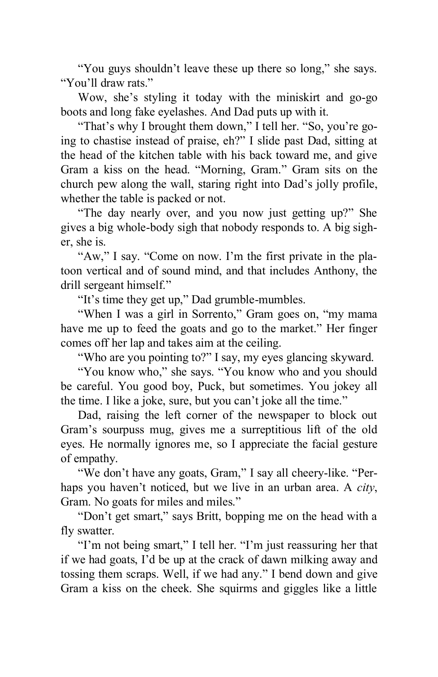"You guys shouldn't leave these up there so long," she says. "You'll draw rats."

Wow, she's styling it today with the miniskirt and go-go boots and long fake eyelashes. And Dad puts up with it.

"That's why I brought them down," I tell her. "So, you're going to chastise instead of praise, eh?" I slide past Dad, sitting at the head of the kitchen table with his back toward me, and give Gram a kiss on the head. "Morning, Gram." Gram sits on the church pew along the wall, staring right into Dad's jolly profile, whether the table is packed or not.

"The day nearly over, and you now just getting up?" She gives a big whole-body sigh that nobody responds to. A big sigher, she is.

"Aw," I say. "Come on now. I'm the first private in the platoon vertical and of sound mind, and that includes Anthony, the drill sergeant himself."

"It's time they get up," Dad grumble-mumbles.

"When I was a girl in Sorrento," Gram goes on, "my mama have me up to feed the goats and go to the market." Her finger comes off her lap and takes aim at the ceiling.

"Who are you pointing to?" I say, my eyes glancing skyward.

"You know who," she says. "You know who and you should be careful. You good boy, Puck, but sometimes. You jokey all the time. I like a joke, sure, but you can't joke all the time."

Dad, raising the left corner of the newspaper to block out Gram's sourpuss mug, gives me a surreptitious lift of the old eyes. He normally ignores me, so I appreciate the facial gesture of empathy.

"We don't have any goats, Gram," I say all cheery-like. "Perhaps you haven't noticed, but we live in an urban area. A *city*, Gram. No goats for miles and miles."

"Don't get smart," says Britt, bopping me on the head with a fly swatter.

"I'm not being smart," I tell her. "I'm just reassuring her that if we had goats, I'd be up at the crack of dawn milking away and tossing them scraps. Well, if we had any." I bend down and give Gram a kiss on the cheek. She squirms and giggles like a little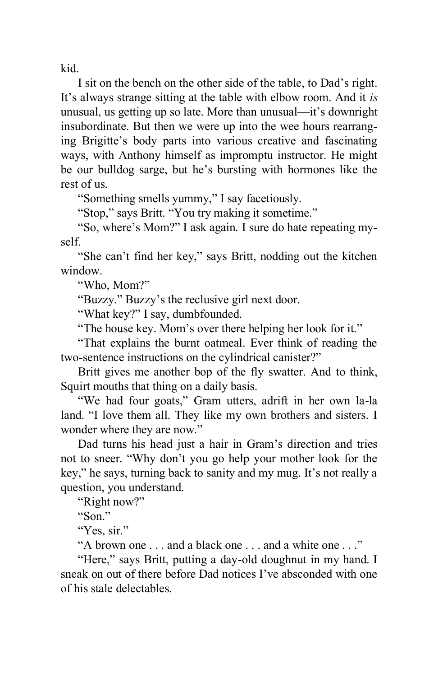kid.

I sit on the bench on the other side of the table, to Dad's right. It's always strange sitting at the table with elbow room. And it *is*  unusual, us getting up so late. More than unusual—it's downright insubordinate. But then we were up into the wee hours rearranging Brigitte's body parts into various creative and fascinating ways, with Anthony himself as impromptu instructor. He might be our bulldog sarge, but he's bursting with hormones like the rest of us.

"Something smells yummy," I say facetiously.

"Stop," says Britt. "You try making it sometime."

"So, where's Mom?" I ask again. I sure do hate repeating myself.

"She can't find her key," says Britt, nodding out the kitchen window.

"Who, Mom?"

"Buzzy." Buzzy's the reclusive girl next door.

"What key?" I say, dumbfounded.

"The house key. Mom's over there helping her look for it."

"That explains the burnt oatmeal. Ever think of reading the two-sentence instructions on the cylindrical canister?"

Britt gives me another bop of the fly swatter. And to think, Squirt mouths that thing on a daily basis.

"We had four goats," Gram utters, adrift in her own la-la land. "I love them all. They like my own brothers and sisters. I wonder where they are now."

Dad turns his head just a hair in Gram's direction and tries not to sneer. "Why don't you go help your mother look for the key," he says, turning back to sanity and my mug. It's not really a question, you understand.

"Right now?"

"Son."

"Yes sir"

"A brown one . . . and a black one . . . and a white one . . ."

"Here," says Britt, putting a day-old doughnut in my hand. I sneak on out of there before Dad notices I've absconded with one of his stale delectables.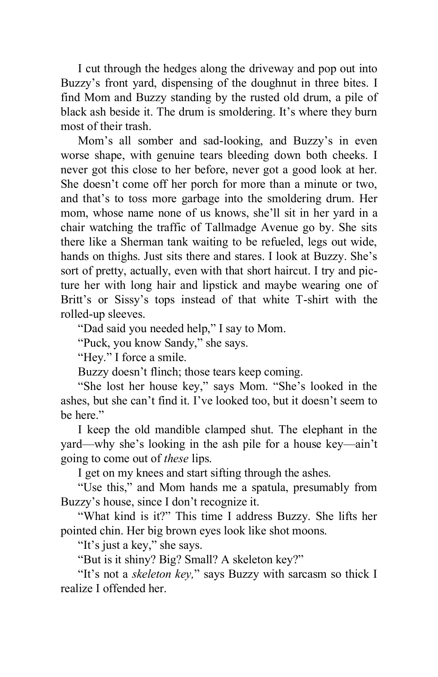I cut through the hedges along the driveway and pop out into Buzzy's front yard, dispensing of the doughnut in three bites. I find Mom and Buzzy standing by the rusted old drum, a pile of black ash beside it. The drum is smoldering. It's where they burn most of their trash.

Mom's all somber and sad-looking, and Buzzy's in even worse shape, with genuine tears bleeding down both cheeks. I never got this close to her before, never got a good look at her. She doesn't come off her porch for more than a minute or two, and that's to toss more garbage into the smoldering drum. Her mom, whose name none of us knows, she'll sit in her yard in a chair watching the traffic of Tallmadge Avenue go by. She sits there like a Sherman tank waiting to be refueled, legs out wide, hands on thighs. Just sits there and stares. I look at Buzzy. She's sort of pretty, actually, even with that short haircut. I try and picture her with long hair and lipstick and maybe wearing one of Britt's or Sissy's tops instead of that white T-shirt with the rolled-up sleeves.

"Dad said you needed help," I say to Mom.

"Puck, you know Sandy," she says.

"Hey." I force a smile.

Buzzy doesn't flinch; those tears keep coming.

"She lost her house key," says Mom. "She's looked in the ashes, but she can't find it. I've looked too, but it doesn't seem to be here."

I keep the old mandible clamped shut. The elephant in the yard—why she's looking in the ash pile for a house key—ain't going to come out of *these* lips.

I get on my knees and start sifting through the ashes.

"Use this," and Mom hands me a spatula, presumably from Buzzy's house, since I don't recognize it.

"What kind is it?" This time I address Buzzy. She lifts her pointed chin. Her big brown eyes look like shot moons.

"It's just a key," she says.

"But is it shiny? Big? Small? A skeleton key?"

"It's not a *skeleton key,*" says Buzzy with sarcasm so thick I realize I offended her.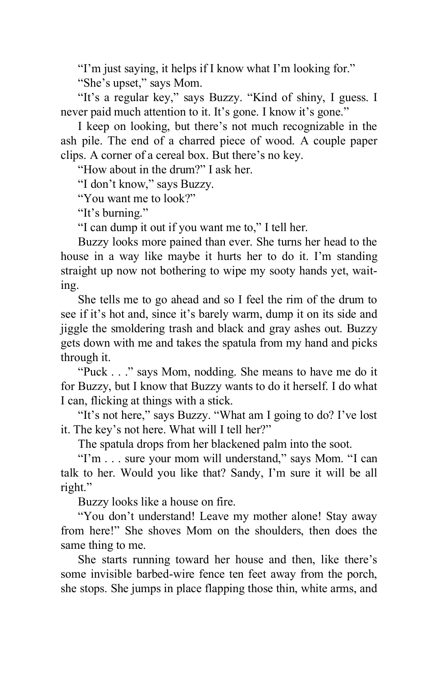"I'm just saying, it helps if I know what I'm looking for."

"She's upset," says Mom.

"It's a regular key," says Buzzy. "Kind of shiny, I guess. I never paid much attention to it. It's gone. I know it's gone."

I keep on looking, but there's not much recognizable in the ash pile. The end of a charred piece of wood. A couple paper clips. A corner of a cereal box. But there's no key.

"How about in the drum?" I ask her.

"I don't know," says Buzzy.

"You want me to look?"

"It's burning."

"I can dump it out if you want me to," I tell her.

Buzzy looks more pained than ever. She turns her head to the house in a way like maybe it hurts her to do it. I'm standing straight up now not bothering to wipe my sooty hands yet, waiting.

She tells me to go ahead and so I feel the rim of the drum to see if it's hot and, since it's barely warm, dump it on its side and jiggle the smoldering trash and black and gray ashes out. Buzzy gets down with me and takes the spatula from my hand and picks through it.

"Puck . . ." says Mom, nodding. She means to have me do it for Buzzy, but I know that Buzzy wants to do it herself. I do what I can, flicking at things with a stick.

"It's not here," says Buzzy. "What am I going to do? I've lost it. The key's not here. What will I tell her?"

The spatula drops from her blackened palm into the soot.

"I'm . . . sure your mom will understand," says Mom. "I can talk to her. Would you like that? Sandy, I'm sure it will be all right."

Buzzy looks like a house on fire.

"You don't understand! Leave my mother alone! Stay away from here!" She shoves Mom on the shoulders, then does the same thing to me.

She starts running toward her house and then, like there's some invisible barbed-wire fence ten feet away from the porch, she stops. She jumps in place flapping those thin, white arms, and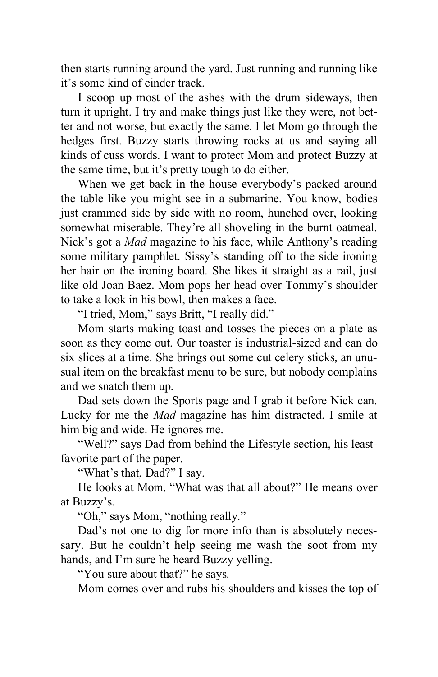then starts running around the yard. Just running and running like it's some kind of cinder track.

I scoop up most of the ashes with the drum sideways, then turn it upright. I try and make things just like they were, not better and not worse, but exactly the same. I let Mom go through the hedges first. Buzzy starts throwing rocks at us and saying all kinds of cuss words. I want to protect Mom and protect Buzzy at the same time, but it's pretty tough to do either.

When we get back in the house everybody's packed around the table like you might see in a submarine. You know, bodies just crammed side by side with no room, hunched over, looking somewhat miserable. They're all shoveling in the burnt oatmeal. Nick's got a *Mad* magazine to his face, while Anthony's reading some military pamphlet. Sissy's standing off to the side ironing her hair on the ironing board. She likes it straight as a rail, just like old Joan Baez. Mom pops her head over Tommy's shoulder to take a look in his bowl, then makes a face.

"I tried, Mom," says Britt, "I really did."

Mom starts making toast and tosses the pieces on a plate as soon as they come out. Our toaster is industrial-sized and can do six slices at a time. She brings out some cut celery sticks, an unusual item on the breakfast menu to be sure, but nobody complains and we snatch them up.

Dad sets down the Sports page and I grab it before Nick can. Lucky for me the *Mad* magazine has him distracted. I smile at him big and wide. He ignores me.

"Well?" says Dad from behind the Lifestyle section, his leastfavorite part of the paper.

"What's that, Dad?" I say.

He looks at Mom. "What was that all about?" He means over at Buzzy's.

"Oh," says Mom, "nothing really."

Dad's not one to dig for more info than is absolutely necessary. But he couldn't help seeing me wash the soot from my hands, and I'm sure he heard Buzzy yelling.

"You sure about that?" he says.

Mom comes over and rubs his shoulders and kisses the top of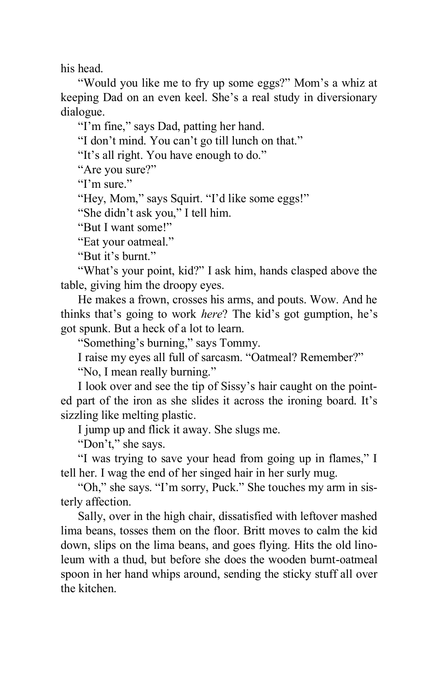his head.

"Would you like me to fry up some eggs?" Mom's a whiz at keeping Dad on an even keel. She's a real study in diversionary dialogue.

"I'm fine," says Dad, patting her hand.

"I don't mind. You can't go till lunch on that."

"It's all right. You have enough to do."

"Are you sure?"

"I'm sure."

"Hey, Mom," says Squirt. "I'd like some eggs!"

"She didn't ask you," I tell him.

"But I want some!"

"Eat your oatmeal."

"But it's burnt."

"What's your point, kid?" I ask him, hands clasped above the table, giving him the droopy eyes.

He makes a frown, crosses his arms, and pouts. Wow. And he thinks that's going to work *here*? The kid's got gumption, he's got spunk. But a heck of a lot to learn.

"Something's burning," says Tommy.

I raise my eyes all full of sarcasm. "Oatmeal? Remember?"

"No, I mean really burning."

I look over and see the tip of Sissy's hair caught on the pointed part of the iron as she slides it across the ironing board. It's sizzling like melting plastic.

I jump up and flick it away. She slugs me.

"Don't," she says.

"I was trying to save your head from going up in flames," I tell her. I wag the end of her singed hair in her surly mug.

"Oh," she says. "I'm sorry, Puck." She touches my arm in sisterly affection.

Sally, over in the high chair, dissatisfied with leftover mashed lima beans, tosses them on the floor. Britt moves to calm the kid down, slips on the lima beans, and goes flying. Hits the old linoleum with a thud, but before she does the wooden burnt-oatmeal spoon in her hand whips around, sending the sticky stuff all over the kitchen.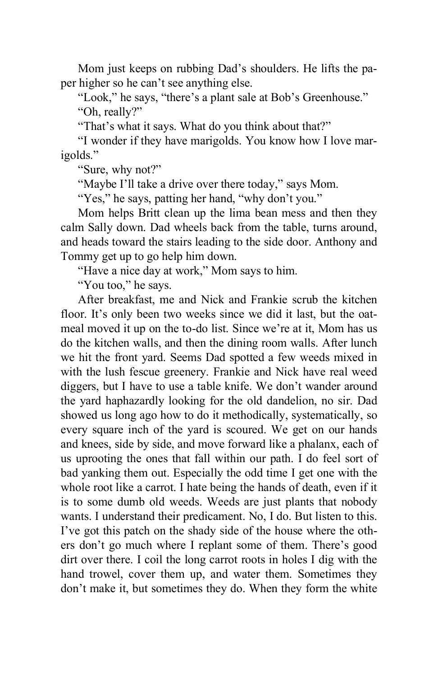Mom just keeps on rubbing Dad's shoulders. He lifts the paper higher so he can't see anything else.

"Look," he says, "there's a plant sale at Bob's Greenhouse." "Oh, really?"

"That's what it says. What do you think about that?"

"I wonder if they have marigolds. You know how I love marigolds."

"Sure, why not?"

"Maybe I'll take a drive over there today," says Mom.

"Yes," he says, patting her hand, "why don't you."

Mom helps Britt clean up the lima bean mess and then they calm Sally down. Dad wheels back from the table, turns around, and heads toward the stairs leading to the side door. Anthony and Tommy get up to go help him down.

"Have a nice day at work," Mom says to him.

"You too," he says.

After breakfast, me and Nick and Frankie scrub the kitchen floor. It's only been two weeks since we did it last, but the oatmeal moved it up on the to-do list. Since we're at it, Mom has us do the kitchen walls, and then the dining room walls. After lunch we hit the front yard. Seems Dad spotted a few weeds mixed in with the lush fescue greenery. Frankie and Nick have real weed diggers, but I have to use a table knife. We don't wander around the yard haphazardly looking for the old dandelion, no sir. Dad showed us long ago how to do it methodically, systematically, so every square inch of the yard is scoured. We get on our hands and knees, side by side, and move forward like a phalanx, each of us uprooting the ones that fall within our path. I do feel sort of bad yanking them out. Especially the odd time I get one with the whole root like a carrot. I hate being the hands of death, even if it is to some dumb old weeds. Weeds are just plants that nobody wants. I understand their predicament. No, I do. But listen to this. I've got this patch on the shady side of the house where the others don't go much where I replant some of them. There's good dirt over there. I coil the long carrot roots in holes I dig with the hand trowel, cover them up, and water them. Sometimes they don't make it, but sometimes they do. When they form the white